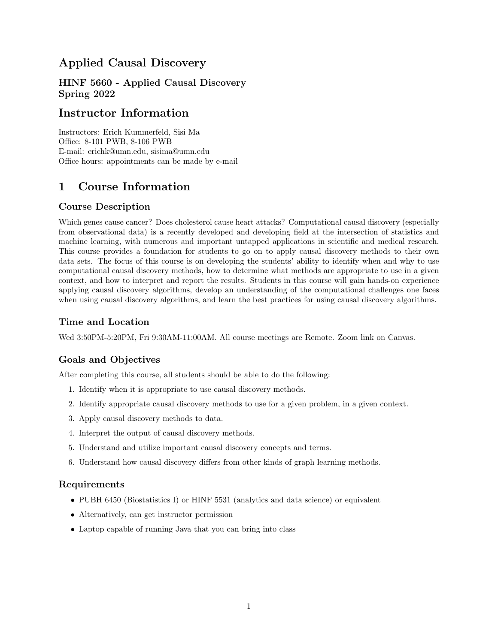## Applied Causal Discovery

HINF 5660 - Applied Causal Discovery Spring 2022

## Instructor Information

Instructors: Erich Kummerfeld, Sisi Ma Office: 8-101 PWB, 8-106 PWB E-mail: erichk@umn.edu, sisima@umn.edu Office hours: appointments can be made by e-mail

# 1 Course Information

## Course Description

Which genes cause cancer? Does cholesterol cause heart attacks? Computational causal discovery (especially from observational data) is a recently developed and developing field at the intersection of statistics and machine learning, with numerous and important untapped applications in scientific and medical research. This course provides a foundation for students to go on to apply causal discovery methods to their own data sets. The focus of this course is on developing the students' ability to identify when and why to use computational causal discovery methods, how to determine what methods are appropriate to use in a given context, and how to interpret and report the results. Students in this course will gain hands-on experience applying causal discovery algorithms, develop an understanding of the computational challenges one faces when using causal discovery algorithms, and learn the best practices for using causal discovery algorithms.

## Time and Location

Wed 3:50PM-5:20PM, Fri 9:30AM-11:00AM. All course meetings are Remote. Zoom link on Canvas.

## Goals and Objectives

After completing this course, all students should be able to do the following:

- 1. Identify when it is appropriate to use causal discovery methods.
- 2. Identify appropriate causal discovery methods to use for a given problem, in a given context.
- 3. Apply causal discovery methods to data.
- 4. Interpret the output of causal discovery methods.
- 5. Understand and utilize important causal discovery concepts and terms.
- 6. Understand how causal discovery differs from other kinds of graph learning methods.

#### Requirements

- PUBH 6450 (Biostatistics I) or HINF 5531 (analytics and data science) or equivalent
- Alternatively, can get instructor permission
- Laptop capable of running Java that you can bring into class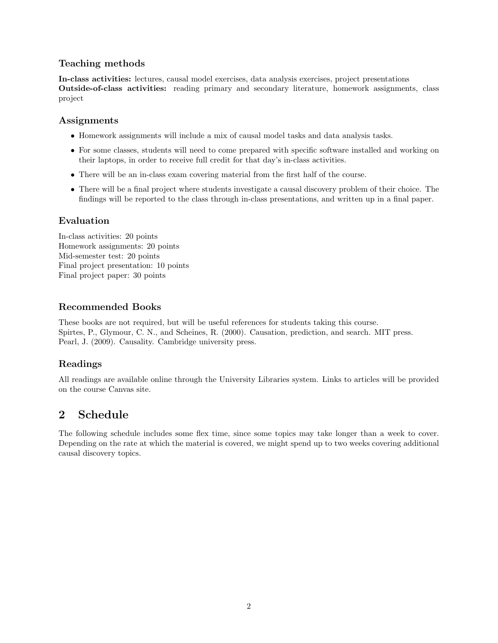## Teaching methods

In-class activities: lectures, causal model exercises, data analysis exercises, project presentations Outside-of-class activities: reading primary and secondary literature, homework assignments, class project

#### Assignments

- Homework assignments will include a mix of causal model tasks and data analysis tasks.
- For some classes, students will need to come prepared with specific software installed and working on their laptops, in order to receive full credit for that day's in-class activities.
- There will be an in-class exam covering material from the first half of the course.
- There will be a final project where students investigate a causal discovery problem of their choice. The findings will be reported to the class through in-class presentations, and written up in a final paper.

### Evaluation

In-class activities: 20 points Homework assignments: 20 points Mid-semester test: 20 points Final project presentation: 10 points Final project paper: 30 points

#### Recommended Books

These books are not required, but will be useful references for students taking this course. Spirtes, P., Glymour, C. N., and Scheines, R. (2000). Causation, prediction, and search. MIT press. Pearl, J. (2009). Causality. Cambridge university press.

## Readings

All readings are available online through the University Libraries system. Links to articles will be provided on the course Canvas site.

## 2 Schedule

The following schedule includes some flex time, since some topics may take longer than a week to cover. Depending on the rate at which the material is covered, we might spend up to two weeks covering additional causal discovery topics.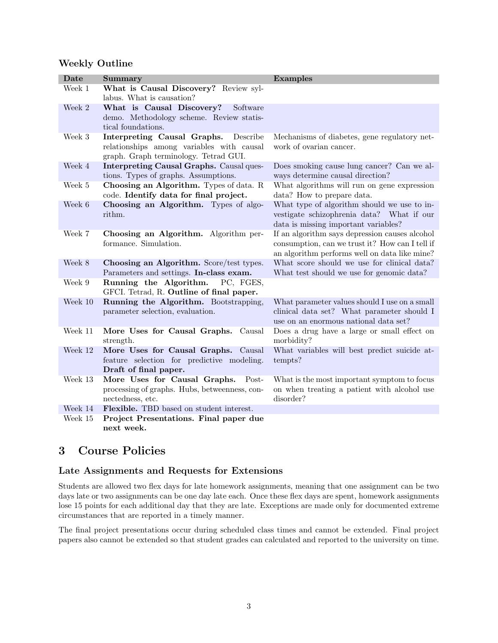#### Weekly Outline

| Date    | Summary                                                                                                                       | <b>Examples</b>                                                                                                                                    |
|---------|-------------------------------------------------------------------------------------------------------------------------------|----------------------------------------------------------------------------------------------------------------------------------------------------|
| Week 1  | What is Causal Discovery? Review syl-<br>labus. What is causation?                                                            |                                                                                                                                                    |
| Week 2  | What is Causal Discovery?<br>Software<br>demo. Methodology scheme. Review statis-<br>tical foundations.                       |                                                                                                                                                    |
| Week 3  | Interpreting Causal Graphs.<br>Describe<br>relationships among variables with causal<br>graph. Graph terminology. Tetrad GUI. | Mechanisms of diabetes, gene regulatory net-<br>work of ovarian cancer.                                                                            |
| Week 4  | Interpreting Causal Graphs. Causal ques-<br>tions. Types of graphs. Assumptions.                                              | Does smoking cause lung cancer? Can we al-<br>ways determine causal direction?                                                                     |
| Week 5  | Choosing an Algorithm. Types of data. R<br>code. Identify data for final project.                                             | What algorithms will run on gene expression<br>data? How to prepare data.                                                                          |
| Week 6  | Choosing an Algorithm. Types of algo-<br>rithm.                                                                               | What type of algorithm should we use to in-<br>vestigate schizophrenia data? What if our<br>data is missing important variables?                   |
| Week 7  | Choosing an Algorithm. Algorithm per-<br>formance. Simulation.                                                                | If an algorithm says depression causes alcohol<br>consumption, can we trust it? How can I tell if<br>an algorithm performs well on data like mine? |
| Week 8  | Choosing an Algorithm. Score/test types.<br>Parameters and settings. In-class exam.                                           | What score should we use for clinical data?<br>What test should we use for genomic data?                                                           |
| Week 9  | Running the Algorithm.<br>PC, FGES,<br>GFCI. Tetrad, R. Outline of final paper.                                               |                                                                                                                                                    |
| Week 10 | Running the Algorithm. Bootstrapping,<br>parameter selection, evaluation.                                                     | What parameter values should I use on a small<br>clinical data set? What parameter should I<br>use on an enormous national data set?               |
| Week 11 | More Uses for Causal Graphs.<br>Causal<br>strength.                                                                           | Does a drug have a large or small effect on<br>morbidity?                                                                                          |
| Week 12 | More Uses for Causal Graphs.<br>Causal<br>feature selection for predictive modeling.<br>Draft of final paper.                 | What variables will best predict suicide at-<br>tempts?                                                                                            |
| Week 13 | More Uses for Causal Graphs.<br>Post-<br>processing of graphs. Hubs, betweenness, con-<br>nectedness, etc.                    | What is the most important symptom to focus<br>on when treating a patient with alcohol use<br>disorder?                                            |
| Week 14 | Flexible. TBD based on student interest.                                                                                      |                                                                                                                                                    |
| Week 15 | Project Presentations. Final paper due<br>next week.                                                                          |                                                                                                                                                    |

## 3 Course Policies

#### Late Assignments and Requests for Extensions

Students are allowed two flex days for late homework assignments, meaning that one assignment can be two days late or two assignments can be one day late each. Once these flex days are spent, homework assignments lose 15 points for each additional day that they are late. Exceptions are made only for documented extreme circumstances that are reported in a timely manner.

The final project presentations occur during scheduled class times and cannot be extended. Final project papers also cannot be extended so that student grades can calculated and reported to the university on time.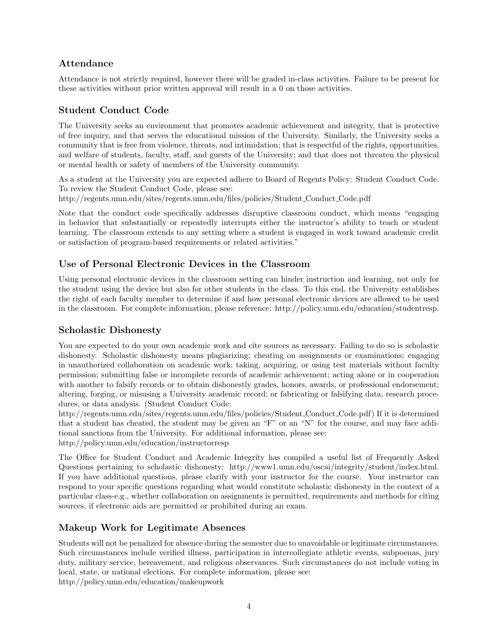## Attendance

Attendance is not strictly required, however there will be graded in-class activities. Failure to be present for these activities without prior written approval will result in a 0 on those activities.

## Student Conduct Code

The University seeks an environment that promotes academic achievement and integrity, that is protective of free inquiry, and that serves the educational mission of the University. Similarly, the University seeks a community that is free from violence, threats, and intimidation; that is respectful of the rights, opportunities, and welfare of students, faculty, staff, and guests of the University; and that does not threaten the physical or mental health or safety of members of the University community.

As a student at the University you are expected adhere to Board of Regents Policy: Student Conduct Code. To review the Student Conduct Code, please see:

http://regents.umn.edu/sites/regents.umn.edu/files/policies/Student Conduct Code.pdf

Note that the conduct code specifically addresses disruptive classroom conduct, which means "engaging in behavior that substantially or repeatedly interrupts either the instructor's ability to teach or student learning. The classroom extends to any setting where a student is engaged in work toward academic credit or satisfaction of program-based requirements or related activities."

## Use of Personal Electronic Devices in the Classroom

Using personal electronic devices in the classroom setting can hinder instruction and learning, not only for the student using the device but also for other students in the class. To this end, the University establishes the right of each faculty member to determine if and how personal electronic devices are allowed to be used in the classroom. For complete information, please reference: http://policy.umn.edu/education/studentresp.

## Scholastic Dishonesty

You are expected to do your own academic work and cite sources as necessary. Failing to do so is scholastic dishonesty. Scholastic dishonesty means plagiarizing; cheating on assignments or examinations; engaging in unauthorized collaboration on academic work; taking, acquiring, or using test materials without faculty permission; submitting false or incomplete records of academic achievement; acting alone or in cooperation with another to falsify records or to obtain dishonestly grades, honors, awards, or professional endorsement; altering, forging, or misusing a University academic record; or fabricating or falsifying data, research procedures, or data analysis. (Student Conduct Code:

http://regents.umn.edu/sites/regents.umn.edu/files/policies/Student Conduct Code.pdf) If it is determined that a student has cheated, the student may be given an "F" or an "N" for the course, and may face additional sanctions from the University. For additional information, please see: http://policy.umn.edu/education/instructorresp

The Office for Student Conduct and Academic Integrity has compiled a useful list of Frequently Asked Questions pertaining to scholastic dishonesty: http://www1.umn.edu/oscai/integrity/student/index.html. If you have additional questions, please clarify with your instructor for the course. Your instructor can respond to your specific questions regarding what would constitute scholastic dishonesty in the context of a particular class-e.g., whether collaboration on assignments is permitted, requirements and methods for citing sources, if electronic aids are permitted or prohibited during an exam.

## Makeup Work for Legitimate Absences

Students will not be penalized for absence during the semester due to unavoidable or legitimate circumstances. Such circumstances include verified illness, participation in intercollegiate athletic events, subpoenas, jury duty, military service, bereavement, and religious observances. Such circumstances do not include voting in local, state, or national elections. For complete information, please see: http://policy.umn.edu/education/makeupwork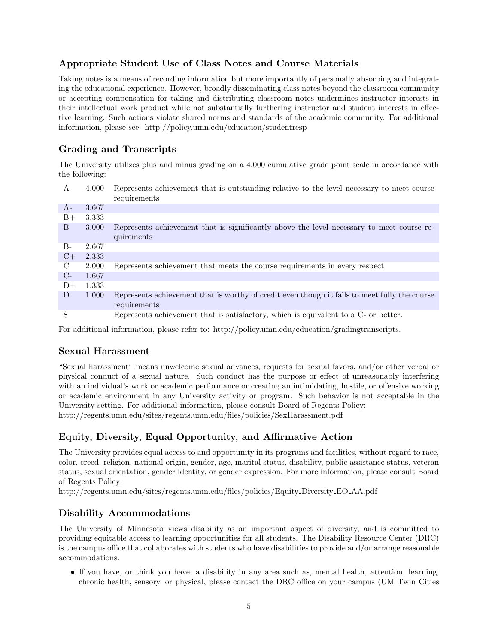## Appropriate Student Use of Class Notes and Course Materials

Taking notes is a means of recording information but more importantly of personally absorbing and integrating the educational experience. However, broadly disseminating class notes beyond the classroom community or accepting compensation for taking and distributing classroom notes undermines instructor interests in their intellectual work product while not substantially furthering instructor and student interests in effective learning. Such actions violate shared norms and standards of the academic community. For additional information, please see: http://policy.umn.edu/education/studentresp

## Grading and Transcripts

The University utilizes plus and minus grading on a 4.000 cumulative grade point scale in accordance with the following:

| A    | 4.000 | Represents achievement that is outstanding relative to the level necessary to meet course<br>requirements |
|------|-------|-----------------------------------------------------------------------------------------------------------|
|      |       |                                                                                                           |
| $A-$ | 3.667 |                                                                                                           |
| $B+$ | 3.333 |                                                                                                           |
| B    | 3.000 | Represents achievement that is significantly above the level necessary to meet course re-                 |
|      |       | quirements                                                                                                |
| B-   | 2.667 |                                                                                                           |
| $C+$ | 2.333 |                                                                                                           |
| C    | 2.000 | Represents achievement that meets the course requirements in every respect                                |
| $C-$ | 1.667 |                                                                                                           |
| $D+$ | 1.333 |                                                                                                           |
| D    | 1.000 | Represents achievement that is worthy of credit even though it fails to meet fully the course             |
|      |       | requirements                                                                                              |
| S    |       | Represents achievement that is satisfactory, which is equivalent to a C- or better.                       |

For additional information, please refer to: http://policy.umn.edu/education/gradingtranscripts.

#### Sexual Harassment

"Sexual harassment" means unwelcome sexual advances, requests for sexual favors, and/or other verbal or physical conduct of a sexual nature. Such conduct has the purpose or effect of unreasonably interfering with an individual's work or academic performance or creating an intimidating, hostile, or offensive working or academic environment in any University activity or program. Such behavior is not acceptable in the University setting. For additional information, please consult Board of Regents Policy: http://regents.umn.edu/sites/regents.umn.edu/files/policies/SexHarassment.pdf

## Equity, Diversity, Equal Opportunity, and Affirmative Action

The University provides equal access to and opportunity in its programs and facilities, without regard to race, color, creed, religion, national origin, gender, age, marital status, disability, public assistance status, veteran status, sexual orientation, gender identity, or gender expression. For more information, please consult Board of Regents Policy:

http://regents.umn.edu/sites/regents.umn.edu/files/policies/Equity Diversity EO AA.pdf

## Disability Accommodations

The University of Minnesota views disability as an important aspect of diversity, and is committed to providing equitable access to learning opportunities for all students. The Disability Resource Center (DRC) is the campus office that collaborates with students who have disabilities to provide and/or arrange reasonable accommodations.

• If you have, or think you have, a disability in any area such as, mental health, attention, learning, chronic health, sensory, or physical, please contact the DRC office on your campus (UM Twin Cities